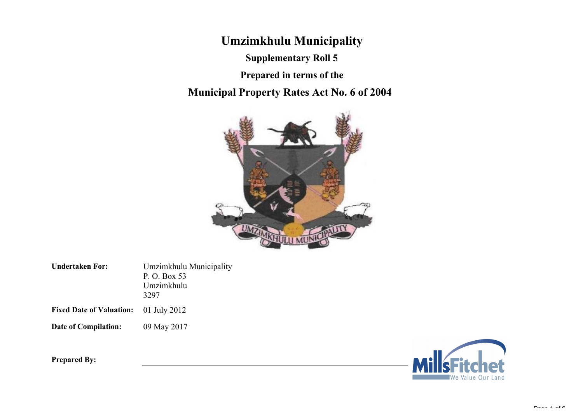**Umzimkhulu Municipality**

**Supplementary Roll 5**

**Municipal Property Rates Act No. 6 of 2004 Prepared in terms of the**



Umzimkhulu Municipality **Undertaken For:**

P. O. Box 53 Umzimkhulu 3297

**Fixed Date of Valuation:** 01 July 2012

**Date of Compilation:** 09 May 2017



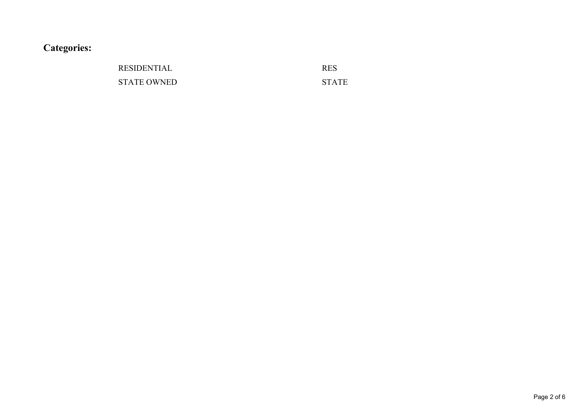**Categories:**

## RESIDENTIAL RES STATE OWNED STATE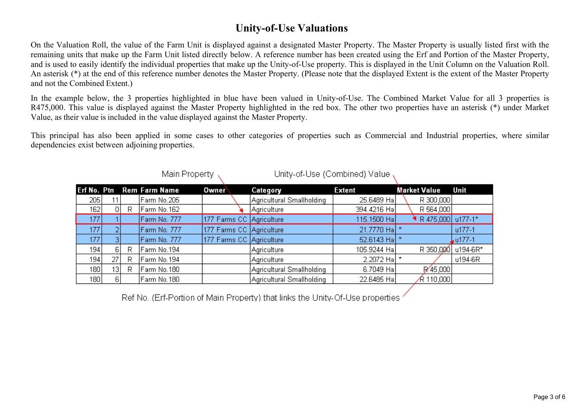#### **Unity-of-Use Valuations**

On the Valuation Roll, the value of the Farm Unit is displayed against a designated Master Property. The Master Property is usually listed first with the remaining units that make up the Farm Unit listed directly below. A reference number has been created using the Erf and Portion of the Master Property, and is used to easily identify the individual properties that make up the Unity-of-Use property. This is displayed in the Unit Column on the Valuation Roll. An asterisk (\*) at the end of this reference number denotes the Master Property. (Please note that the displayed Extent is the extent of the Master Property and not the Combined Extent.)

In the example below, the 3 properties highlighted in blue have been valued in Unity-of-Use. The Combined Market Value for all 3 properties is R475,000. This value is displayed against the Master Property highlighted in the red box. The other two properties have an asterisk (\*) under Market Value, as their value isincluded in the value displayed against the Master Property.

This principal has also been applied in some cases to other categories of properties such as Commercial and Industrial properties, where similar dependencies exist between adjoining properties.

|       |                 |   | TVIGHTT TVPOLLY           |                          | onity-or-ose (Compiled) value |                |                     |            |
|-------|-----------------|---|---------------------------|--------------------------|-------------------------------|----------------|---------------------|------------|
|       |                 |   | Erf No. Ptn Rem Farm Name | Owner                    | Category                      | Extent         | <b>Market Value</b> | Unit       |
| 205 l |                 |   | Farm No.205               |                          | Agricultural Smallholding     | 25.6489 Hal    | R 300,000           |            |
| 162   | οI              | R | Farm No.162               |                          | Agriculture                   | 394.4216 Ha    | R 564,000           |            |
| 177   |                 |   | Farm No. 777              | 177 Farms CC Agriculture |                               | 115.1500 Ha    | R 475,000 u177-1*   |            |
| 177   |                 |   | Farm No. 777              | 177 Farms CC Agriculture |                               | 21.7770 Ha *   |                     | $u177-1$   |
| 177   |                 |   | Farm No. 777              | 177 Farms CC Agriculture |                               | 52.6143 Ha $*$ |                     | $.177 - 1$ |
| 194   | ЯI              | R | Farm No.194               |                          | Agriculture                   | 105.9244 Ha    | R 350,000           | u194-6R*   |
| 194   |                 | R | Farm No.194               |                          | Agriculture                   | 2.2072 Ha      |                     | u194-6R    |
| 180   | 13 <sub>1</sub> | R | Farm No.180               |                          | Agricultural Smallholding     | 6.7049 Ha      | R/45,000            |            |
| 180   | 61              |   | Farm No.180               |                          | Agricultural Smallholding     | 22.6485 Ha     | ∱R 110,000          |            |

Linity of Liea (Combinad) Value

Ref No. (Erf-Portion of Main Property) that links the Unity-Of-Use properties

Main Droporty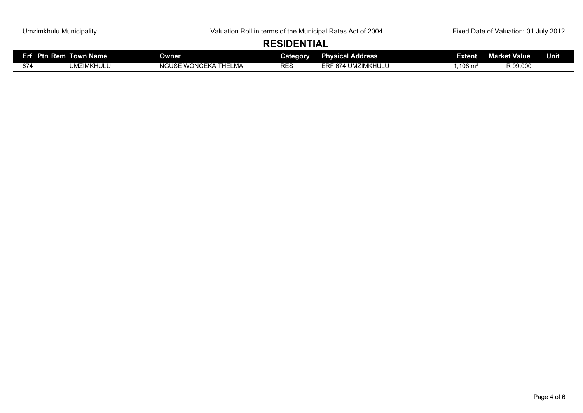# **RESIDENTIAL**

| <b>Ptn Rem</b><br>.<br>-. | <b>Name</b><br>–<br>rown N | Owner                                                                                                 | Category   | al Address <sup>1</sup><br>$\overline{\phantom{a}}$<br>Ph<br>.                                                  | Extent  | ket Value<br>Mar | <b>Unit</b> |
|---------------------------|----------------------------|-------------------------------------------------------------------------------------------------------|------------|-----------------------------------------------------------------------------------------------------------------|---------|------------------|-------------|
| 674                       | <b>UMZIMKHULU</b>          | $\cdots$<br>$I$ $I$ $I$ $I$ $I$<br>$\overline{\phantom{a}}$<br>ELMA<br><b>VVUNG</b><br>וכטטוו<br>. NP | <b>RES</b> | --<br><b>LINA</b><br>$.7$ INAV $^{\circ}$<br>$\sim$ $\sim$ $\sim$ $\sim$<br>flULU<br>6/4<br>UMZ<br>. K 1<br>⊢RF | .108 m² | R 99.000         |             |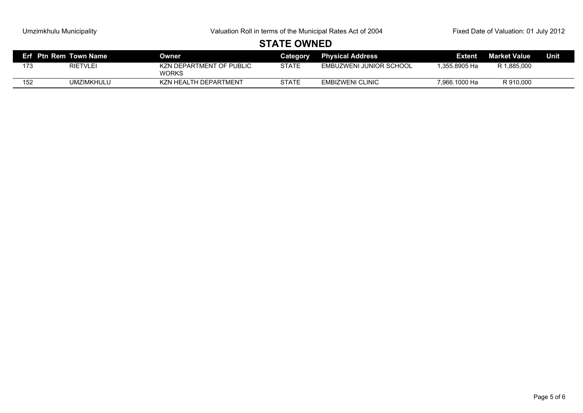# **STATE OWNED**

|     | Erf Ptn Rem Town Name | <b>Owner</b>                      | <b>Category</b> | <b>Physical Address</b> | <b>Extent</b> | <b>Market Value</b> | <b>Unit</b> |
|-----|-----------------------|-----------------------------------|-----------------|-------------------------|---------------|---------------------|-------------|
| 173 | <b>RIETVLEI</b>       | KZN DEPARTMENT OF PUBLIC<br>WORKS | STATE           | EMBUZWENI JUNIOR SCHOOL | l.355.8905 Ha | R 1,885,000         |             |
| 152 | UMZIMKHULU            | KZN HEALTH DEPARTMENT             | <b>STATE</b>    | <b>EMBIZWENI CLINIC</b> | 7.966.1000 Ha | R 910,000           |             |